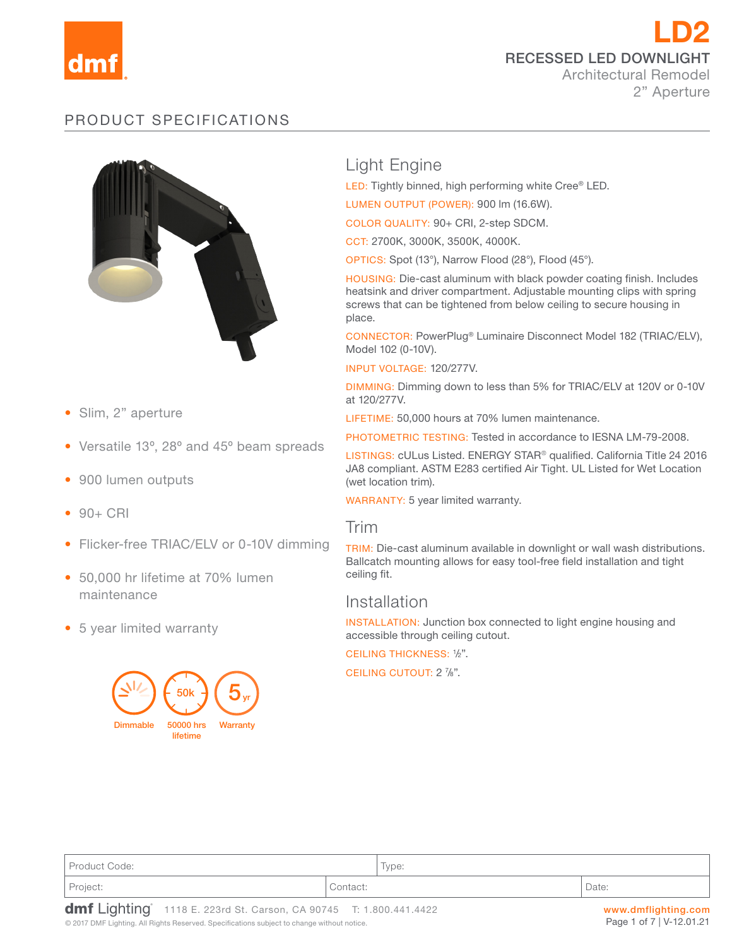

LD2 RECESSED LED DOWNLIGHT Architectural Remodel 2" Aperture

# PRODUCT SPECIFICATIONS



- Slim, 2" aperture
- Versatile 13º, 28º and 45º beam spreads
- 900 lumen outputs
- $90 + CRI$
- Flicker-free TRIAC/ELV or 0-10V dimming
- 50,000 hr lifetime at 70% lumen maintenance
- 5 year limited warranty



# Light Engine

LED: Tightly binned, high performing white Cree® LED.

LUMEN OUTPUT (POWER): 900 lm (16.6W).

COLOR QUALITY: 90+ CRI, 2-step SDCM.

CCT: 2700K, 3000K, 3500K, 4000K.

OPTICS: Spot (13°), Narrow Flood (28°), Flood (45°).

HOUSING: Die-cast aluminum with black powder coating finish. Includes heatsink and driver compartment. Adjustable mounting clips with spring screws that can be tightened from below ceiling to secure housing in place.

CONNECTOR: PowerPlug® Luminaire Disconnect Model 182 (TRIAC/ELV), Model 102 (0-10V).

INPUT VOLTAGE: 120/277V.

DIMMING: Dimming down to less than 5% for TRIAC/ELV at 120V or 0-10V at 120/277V.

LIFETIME: 50,000 hours at 70% lumen maintenance.

PHOTOMETRIC TESTING: Tested in accordance to IESNA LM-79-2008.

LISTINGS: cULus Listed. ENERGY STAR® qualified. California Title 24 2016 JA8 compliant. ASTM E283 certified Air Tight. UL Listed for Wet Location (wet location trim).

WARRANTY: 5 year limited warranty.

## Trim

TRIM: Die-cast aluminum available in downlight or wall wash distributions. Ballcatch mounting allows for easy tool-free field installation and tight ceiling fit.

## Installation

INSTALLATION: Junction box connected to light engine housing and accessible through ceiling cutout.

CEILING THICKNESS: <sup>1</sup> /2".

CEILING CUTOUT: 2 %".

| Project:      | Contact: |                                   | Date: |
|---------------|----------|-----------------------------------|-------|
| Product Code: |          | $\overline{\phantom{a}}$<br>Type: |       |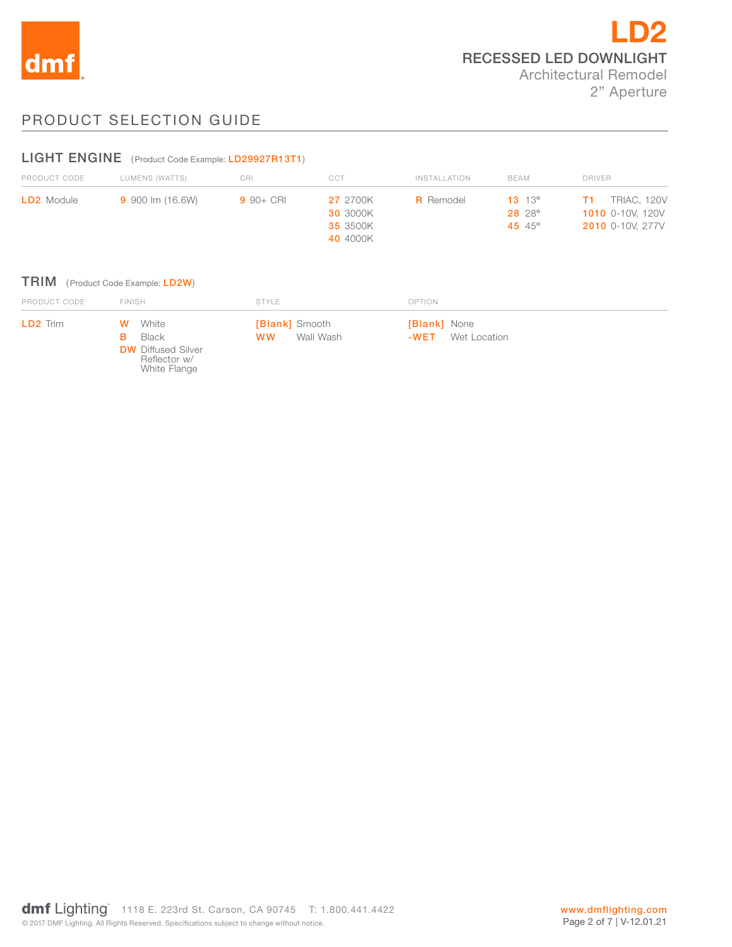

# PRODUCT SELECTION GUIDE

## LIGHT ENGINE (Product Code Example: LD29927R13T1)

| PRODUCT CODE      | LUMENS (WATTS)   | CRI          | CCT                                | <b>INSTALLATION</b> | BEAM                               | <b>DRIVER</b>                                 |
|-------------------|------------------|--------------|------------------------------------|---------------------|------------------------------------|-----------------------------------------------|
| <b>LD2</b> Module | 9 900 lm (16.6W) | $9.90 + CRI$ | <b>27</b> 2700K<br><b>30 3000K</b> | <b>R</b> Remodel    | $13 \t13^{\circ}$<br><b>28</b> 28° | <b>TRIAC, 120V</b><br><b>1010</b> 0-10V. 120V |
|                   |                  |              | 35 3500K                           |                     | 45 $45^{\circ}$                    | <b>2010</b> 0-10V, 277V                       |
|                   |                  |              | 40 4000K                           |                     |                                    |                                               |

### TRIM (Product Code Example: LD2W)

| PRODUCT CODE    | <b>FINISH</b>                                                                        | STYLE                                           | OPTION                                   |  |
|-----------------|--------------------------------------------------------------------------------------|-------------------------------------------------|------------------------------------------|--|
| <b>LD2</b> Trim | <b>W</b> White<br>Black<br><b>DW</b> Diffused Silver<br>Reflector w/<br>White Flange | <b>[Blank]</b> Smooth<br>Wall Wash<br><b>WW</b> | [Blank] None<br><b>-WET</b> Wet Location |  |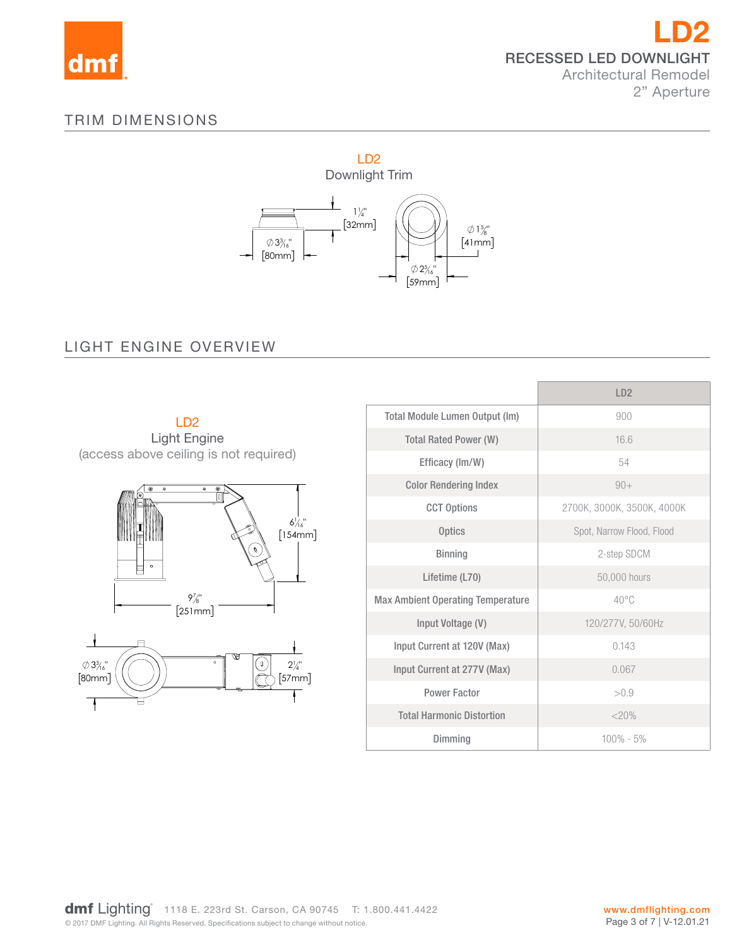

# TRIM DIMENSIONS



16"

#### 25 LIGHT ENGINE OVERVIEW



|                                          | LD2                        |
|------------------------------------------|----------------------------|
| <b>Total Module Lumen Output (Im)</b>    | 900                        |
| <b>Total Rated Power (W)</b>             | 16.6                       |
| Efficacy (Im/W)                          | 54                         |
| <b>Color Rendering Index</b>             | $90+$                      |
| <b>CCT Options</b>                       | 2700K, 3000K, 3500K, 4000K |
| <b>Optics</b>                            | Spot, Narrow Flood, Flood  |
| <b>Binning</b>                           | 2-step SDCM                |
| Lifetime (L70)                           | 50,000 hours               |
| <b>Max Ambient Operating Temperature</b> | $40^{\circ}$ C             |
| Input Voltage (V)                        | 120/277V, 50/60Hz          |
| Input Current at 120V (Max)              | 0.143                      |
| Input Current at 277V (Max)              | 0.067                      |
| <b>Power Factor</b>                      | > 0.9                      |
| <b>Total Harmonic Distortion</b>         | $<$ 20%                    |
| Dimming                                  | $100\% - 5\%$              |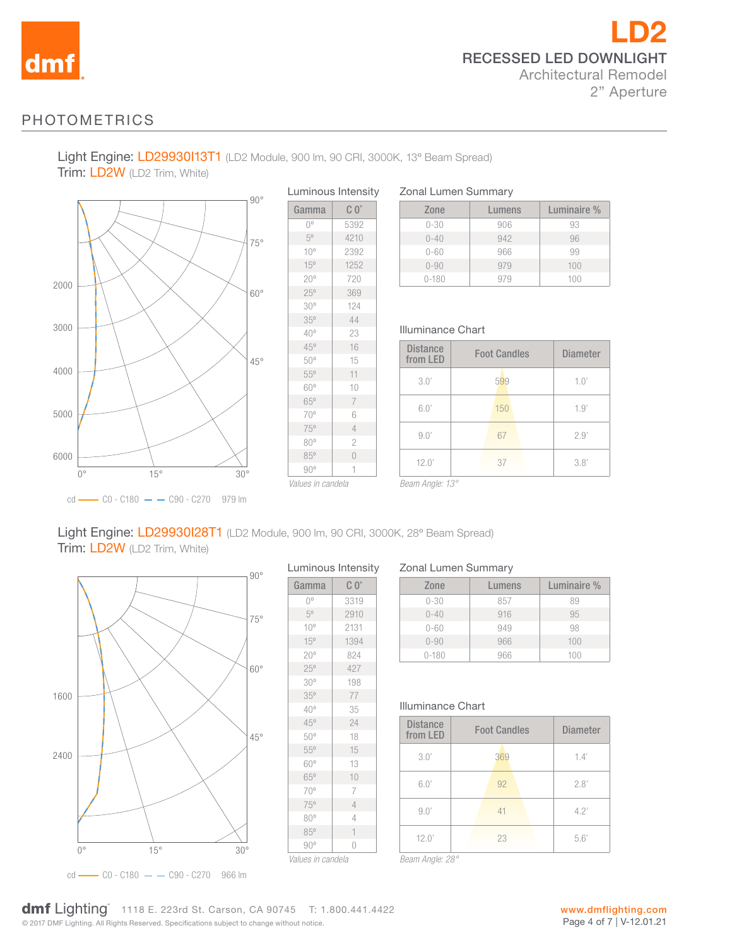

## PHOTOMETRICS

Light Engine: LD29930113T1 (LD2 Module, 900 lm, 90 CRI, 3000K, 13° Beam Spread) Trim: LD2W (LD2 Trim, White)



Luminous Intensity Gamma C 0° 0<sup>°</sup> 5392 5º 4210 10º 2392 15º 1252 20º 720 25º 369 30º 124 35º 44 40º 23 45º 16 50º 15 55º 11 60º 10 65º 7 70º 6 75º 4 80º 2 85º 0 90º 1

Zonal Lumen Summary

| Zone      | Lumens | Luminaire % |
|-----------|--------|-------------|
| $0 - 30$  | 906    | 93          |
| $0 - 40$  | 942    | 96          |
| $0 - 60$  | 966    | 99          |
| $0 - 90$  | 979    | 100         |
| $0 - 180$ | 979    | 100         |

### Illuminance Chart

| <b>Distance</b><br>from LED | <b>Foot Candles</b> | <b>Diameter</b> |
|-----------------------------|---------------------|-----------------|
| 3.0'                        | 599                 | 1.0'            |
| 6.0'                        | 150                 | 1.9'            |
| 9.0'                        | 67                  | 2.9'            |
| 12.0'                       | 37                  | 3.8'            |

*Values in candela*

*Beam Angle: 13°*

### Light Engine: LD29930I28T1 (LD2 Module, 900 lm, 90 CRI, 3000K, 28º Beam Spread) Trim: LD2W (LD2 Trim, White)

1600 2400  $0^{\circ}$  15° 30° 45° 60° 75°  $90^\circ$ 

cd - CO - C180 - C90 - C270 966 lm

| $C_0$<br>Gamma  |                |
|-----------------|----------------|
|                 |                |
| $0^{\circ}$     | 3319           |
| 50              | 2910           |
| $10^{\circ}$    | 2131           |
| 15°             | 1394           |
| $20^{\circ}$    | 824            |
| 25°             | 427            |
| 30 <sup>o</sup> | 198            |
| 35°             | 77             |
| $40^{\circ}$    | 35             |
| 45°             | 24             |
| 50°             | 18             |
| 55°             | 15             |
| 60°             | 13             |
| 65°             | 10             |
| 70°             | 7              |
| 75°             | $\overline{4}$ |
| 80°             | 4              |
| 85°             | $\mathbf{1}$   |
| $90^{\circ}$    | 0              |

#### Zonal Lumen Summary

| Zone      | Lumens | Luminaire % |
|-----------|--------|-------------|
| $0 - 30$  | 857    | 89          |
| $0 - 40$  | 916    | 95          |
| $0 - 60$  | 949    | 98          |
| $0 - 90$  | 966    | 100         |
| $0 - 180$ | 966    | 100         |

#### Illuminance Chart

*Beam Angle: 28°*

| <b>Distance</b><br>from LED | <b>Foot Candles</b> | <b>Diameter</b> |
|-----------------------------|---------------------|-----------------|
| 3.0'                        | 369                 | 1.4'            |
| 6.0'                        | 92                  | 2.8'            |
| 9.0'                        | 41                  | 4.2'            |
| 12.0'                       | 23                  | 5.6'            |

© 2017 DMF Lighting. All Rights Reserved. Specifications subject to change without notice. **dmf** Lighting 1118 E. 223rd St. Carson, CA 90745 T: 1.800.441.4422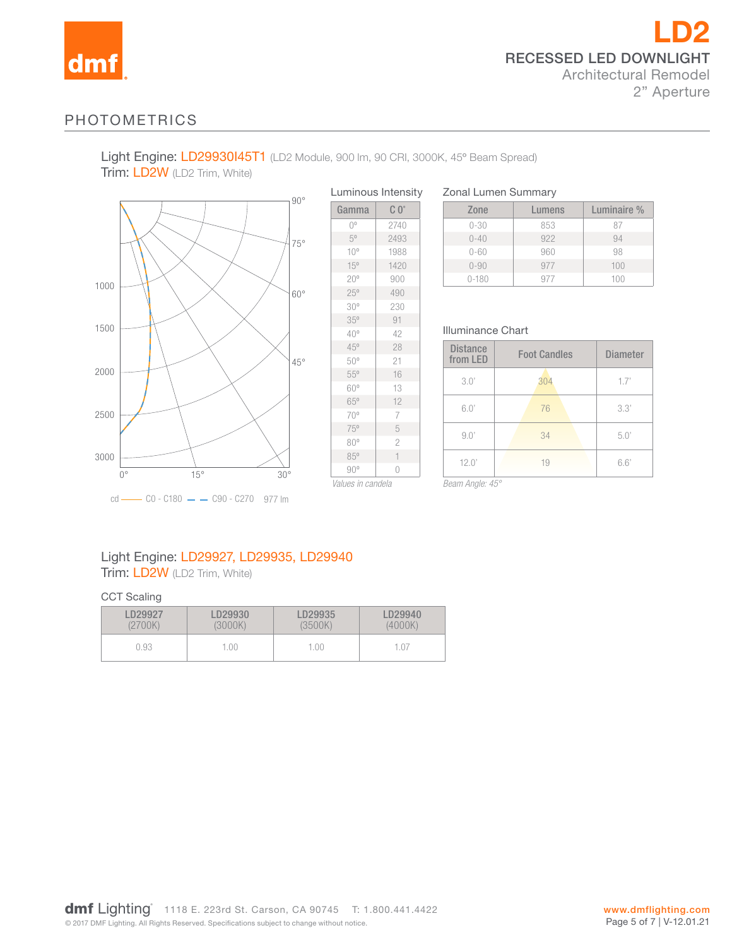

## PHOTOMETRICS

Light Engine: LD29930145T1 (LD2 Module, 900 lm, 90 CRI, 3000K, 45° Beam Spread) Trim: LD2W (LD2 Trim, White)



|                 | Luminous Intensity |
|-----------------|--------------------|
| Gamma           | $C_0^{\circ}$      |
| $0^{\circ}$     | 2740               |
| $5^{\circ}$     | 2493               |
| $10^{\circ}$    | 1988               |
| 15°             | 1420               |
| 20°             | 900                |
| 25°             | 490                |
| 30 <sup>o</sup> | 230                |
| 35°             | 91                 |
| $40^{\circ}$    | 42                 |
| 45°             | 28                 |
| 50°             | 21                 |
| $55^{\circ}$    | 16                 |
| 60°             | 13                 |
| 65°             | 12                 |
| 70°             | 7                  |
| 75°             | 5                  |
| 80°             | $\overline{c}$     |
| 85°             | 1                  |
| $90^{\circ}$    | 0                  |

*Values in candela*

Zonal Lumen Summary

| Zone       | Lumens | Luminaire % |
|------------|--------|-------------|
| $0 - 30$   | 853    | 87          |
| $() - 4()$ | 922    | 94          |
| $0 - 60$   | 960    | 98          |
| $0 - 90$   | 977    | 100         |
| $0 - 180$  | 977    | 100         |

### Illuminance Chart

| <b>Distance</b><br>from LED | <b>Foot Candles</b> | <b>Diameter</b> |
|-----------------------------|---------------------|-----------------|
| 3.0'                        | 304                 | 1.7'            |
| 6.0'                        | 76                  | 3.3'            |
| 9.0'                        | 34                  | 5.0'            |
| 12.0'                       | 19                  | 6.6'            |

*Beam Angle: 45°*

## Light Engine: LD29927, LD29935, LD29940 Trim: LD2W (LD2 Trim, White)

#### CCT Scaling

| D29927  | D29930- | LD29935 | LD29940 |
|---------|---------|---------|---------|
| (2700K) | (3000K) | (3500K) | (4000K) |
| 0.93    | 1.00.   | 1.00    |         |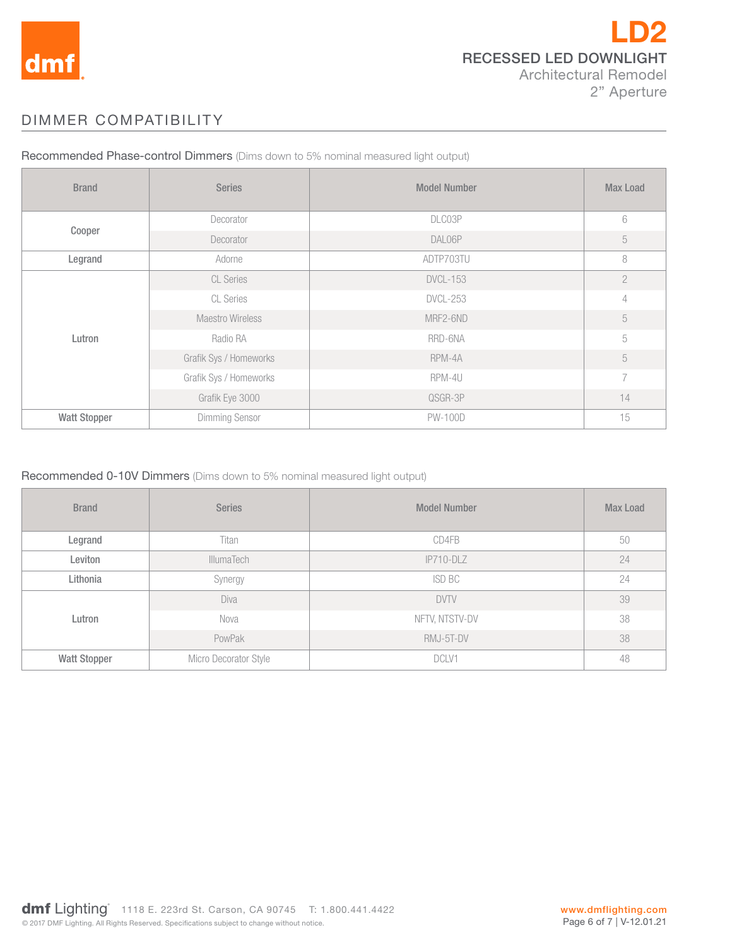

# DIMMER COMPATIBILITY

| <b>Brand</b>        | <b>Series</b>          | <b>Model Number</b> | <b>Max Load</b> |
|---------------------|------------------------|---------------------|-----------------|
| Cooper              | Decorator              | DLC03P              | 6               |
|                     | Decorator              | DAL06P              | $\sqrt{5}$      |
| Legrand             | Adorne                 | ADTP703TU           | 8               |
| Lutron              | <b>CL Series</b>       | <b>DVCL-153</b>     | $\overline{2}$  |
|                     | <b>CL Series</b>       | <b>DVCL-253</b>     | 4               |
|                     | Maestro Wireless       | MRF2-6ND            | 5               |
|                     | Radio RA               | RRD-6NA             | 5               |
|                     | Grafik Sys / Homeworks | RPM-4A              | 5               |
|                     | Grafik Sys / Homeworks | RPM-4U              | 7               |
|                     | Grafik Eye 3000        | QSGR-3P             | 14              |
| <b>Watt Stopper</b> | <b>Dimming Sensor</b>  | <b>PW-100D</b>      | 15              |

Recommended Phase-control Dimmers (Dims down to 5% nominal measured light output)

### Recommended 0-10V Dimmers (Dims down to 5% nominal measured light output)

| <b>Brand</b>        | <b>Series</b>         | <b>Model Number</b> | <b>Max Load</b> |
|---------------------|-----------------------|---------------------|-----------------|
| Legrand             | Titan                 | CD4FB               | 50              |
| Leviton             | <b>IllumaTech</b>     | $IP710-DLZ$         | 24              |
| Lithonia            | Synergy               | ISD BC              | 24              |
|                     | Diva                  | <b>DVTV</b>         | 39              |
| Lutron              | Nova                  | NFTV, NTSTV-DV      | 38              |
|                     | PowPak                | RMJ-5T-DV           | 38              |
| <b>Watt Stopper</b> | Micro Decorator Style | DCLV1               | 48              |